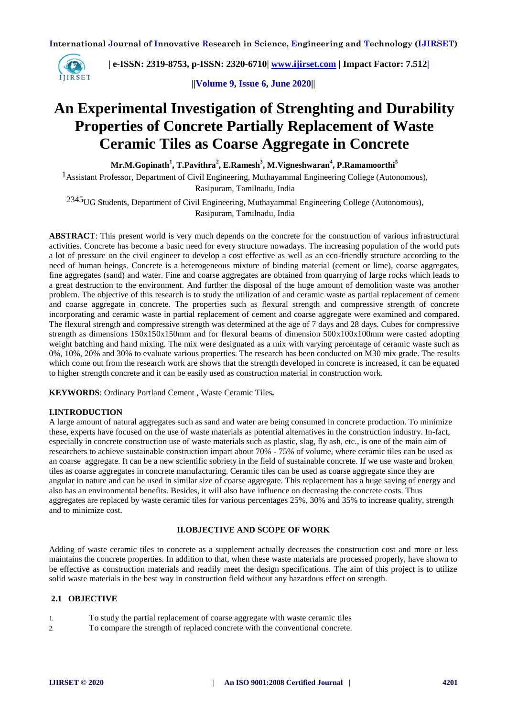

 **| e-ISSN: 2319-8753, p-ISSN: 2320-6710| [www.ijirset.com](http://www.ijirset.com/) | Impact Factor: 7.512|**

**||Volume 9, Issue 6, June 2020||** 

# **An Experimental Investigation of Strenghting and Durability Properties of Concrete Partially Replacement of Waste Ceramic Tiles as Coarse Aggregate in Concrete**

**Mr.M.Gopinath<sup>1</sup> , T.Pavithra<sup>2</sup> , E.Ramesh<sup>3</sup> , M.Vigneshwaran<sup>4</sup> , P.Ramamoorthi<sup>5</sup>**

<sup>1</sup> Assistant Professor, Department of Civil Engineering, Muthayammal Engineering College (Autonomous), Rasipuram, Tamilnadu, India

2345UG Students, Department of Civil Engineering, Muthayammal Engineering College (Autonomous), Rasipuram, Tamilnadu, India

**ABSTRACT**: This present world is very much depends on the concrete for the construction of various infrastructural activities. Concrete has become a basic need for every structure nowadays. The increasing population of the world puts a lot of pressure on the civil engineer to develop a cost effective as well as an eco-friendly structure according to the need of human beings. Concrete is a heterogeneous mixture of binding material (cement or lime), coarse aggregates, fine aggregates (sand) and water. Fine and coarse aggregates are obtained from quarrying of large rocks which leads to a great destruction to the environment. And further the disposal of the huge amount of demolition waste was another problem. The objective of this research is to study the utilization of and ceramic waste as partial replacement of cement and coarse aggregate in concrete. The properties such as flexural strength and compressive strength of concrete incorporating and ceramic waste in partial replacement of cement and coarse aggregate were examined and compared. The flexural strength and compressive strength was determined at the age of 7 days and 28 days. Cubes for compressive strength as dimensions 150x150x150mm and for flexural beams of dimension 500x100x100mm were casted adopting weight batching and hand mixing. The mix were designated as a mix with varying percentage of ceramic waste such as 0%, 10%, 20% and 30% to evaluate various properties. The research has been conducted on M30 mix grade. The results which come out from the research work are shows that the strength developed in concrete is increased, it can be equated to higher strength concrete and it can be easily used as construction material in construction work.

**KEYWORDS**: Ordinary Portland Cement , Waste Ceramic Tiles*.*

# **I.INTRODUCTION**

A large amount of natural aggregates such as sand and water are being consumed in concrete production. To minimize these, experts have focused on the use of waste materials as potential alternatives in the construction industry. In-fact, especially in concrete construction use of waste materials such as plastic, slag, fly ash, etc., is one of the main aim of researchers to achieve sustainable construction impart about 70% - 75% of volume, where ceramic tiles can be used as an coarse aggregate. It can be a new scientific sobriety in the field of sustainable concrete. If we use waste and broken tiles as coarse aggregates in concrete manufacturing. Ceramic tiles can be used as coarse aggregate since they are angular in nature and can be used in similar size of coarse aggregate. This replacement has a huge saving of energy and also has an environmental benefits. Besides, it will also have influence on decreasing the concrete costs. Thus aggregates are replaced by waste ceramic tiles for various percentages 25%, 30% and 35% to increase quality, strength and to minimize cost.

#### **II.OBJECTIVE AND SCOPE OF WORK**

Adding of waste ceramic tiles to concrete as a supplement actually decreases the construction cost and more or less maintains the concrete properties. In addition to that, when these waste materials are processed properly, have shown to be effective as construction materials and readily meet the design specifications. The aim of this project is to utilize solid waste materials in the best way in construction field without any hazardous effect on strength.

# **2.1 OBJECTIVE**

- 1. To study the partial replacement of coarse aggregate with waste ceramic tiles
- 2. To compare the strength of replaced concrete with the conventional concrete.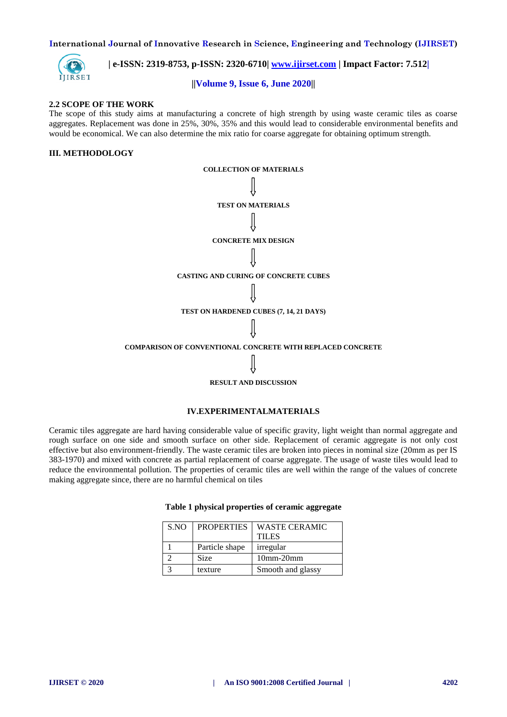

 **| e-ISSN: 2319-8753, p-ISSN: 2320-6710| [www.ijirset.com](http://www.ijirset.com/) | Impact Factor: 7.512|**

#### **||Volume 9, Issue 6, June 2020||**

#### **2.2 SCOPE OF THE WORK**

The scope of this study aims at manufacturing a concrete of high strength by using waste ceramic tiles as coarse aggregates. Replacement was done in 25%, 30%, 35% and this would lead to considerable environmental benefits and would be economical. We can also determine the mix ratio for coarse aggregate for obtaining optimum strength.

# **III. METHODOLOGY**



#### **IV.EXPERIMENTALMATERIALS**

Ceramic tiles aggregate are hard having considerable value of specific gravity, light weight than normal aggregate and rough surface on one side and smooth surface on other side. Replacement of ceramic aggregate is not only cost effective but also environment-friendly. The waste ceramic tiles are broken into pieces in nominal size (20mm as per IS 383-1970) and mixed with concrete as partial replacement of coarse aggregate. The usage of waste tiles would lead to reduce the environmental pollution. The properties of ceramic tiles are well within the range of the values of concrete making aggregate since, there are no harmful chemical on tiles

| S.NO | <b>PROPERTIES</b> | <b>WASTE CERAMIC</b> |
|------|-------------------|----------------------|
|      |                   | <b>TILES</b>         |
|      | Particle shape    | irregular            |
|      | Size              | $10$ mm- $20$ mm     |
|      | texture           | Smooth and glassy    |

# **Table 1 physical properties of ceramic aggregate**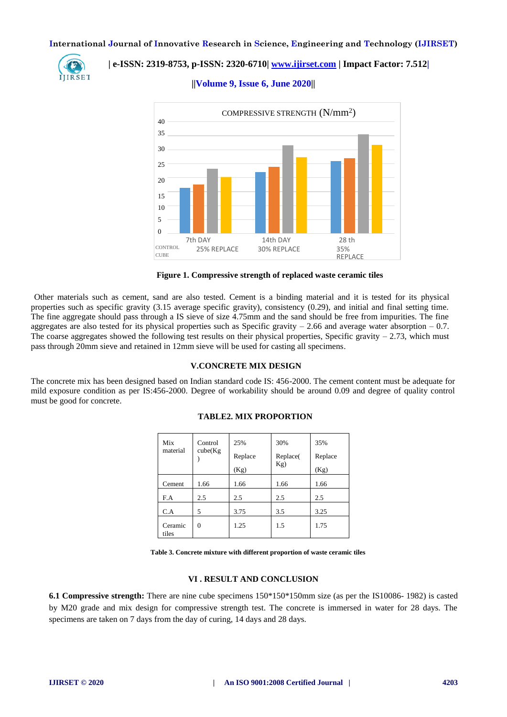

# **| e-ISSN: 2319-8753, p-ISSN: 2320-6710| [www.ijirset.com](http://www.ijirset.com/) | Impact Factor: 7.512|**

**||Volume 9, Issue 6, June 2020||** 



**Figure 1. Compressive strength of replaced waste ceramic tiles**

Other materials such as cement, sand are also tested. Cement is a binding material and it is tested for its physical properties such as specific gravity (3.15 average specific gravity), consistency (0.29), and initial and final setting time. The fine aggregate should pass through a IS sieve of size 4.75mm and the sand should be free from impurities. The fine aggregates are also tested for its physical properties such as Specific gravity  $-2.66$  and average water absorption  $-0.7$ . The coarse aggregates showed the following test results on their physical properties, Specific gravity  $-2.73$ , which must pass through 20mm sieve and retained in 12mm sieve will be used for casting all specimens.

#### **V.CONCRETE MIX DESIGN**

The concrete mix has been designed based on Indian standard code IS: 456-2000. The cement content must be adequate for mild exposure condition as per IS:456-2000. Degree of workability should be around 0.09 and degree of quality control must be good for concrete.

| Mix<br>material  | Control<br>cube(Kg) | 25%<br>Replace<br>(Kg) | 30%<br>Replace(<br>Kg) | 35%<br>Replace<br>(Kg) |
|------------------|---------------------|------------------------|------------------------|------------------------|
| Cement           | 1.66                | 1.66                   | 1.66                   | 1.66                   |
| F.A              | 2.5                 | 2.5                    | 2.5                    | 2.5                    |
| C.A              | 5                   | 3.75                   | 3.5                    | 3.25                   |
| Ceramic<br>tiles | 0                   | 1.25                   | 1.5                    | 1.75                   |

## **TABLE2. MIX PROPORTION**

**Table 3. Concrete mixture with different proportion of waste ceramic tiles**

#### **VI . RESULT AND CONCLUSION**

**6.1 Compressive strength:** There are nine cube specimens 150\*150\*150mm size (as per the IS10086- 1982) is casted by M20 grade and mix design for compressive strength test. The concrete is immersed in water for 28 days. The specimens are taken on 7 days from the day of curing, 14 days and 28 days.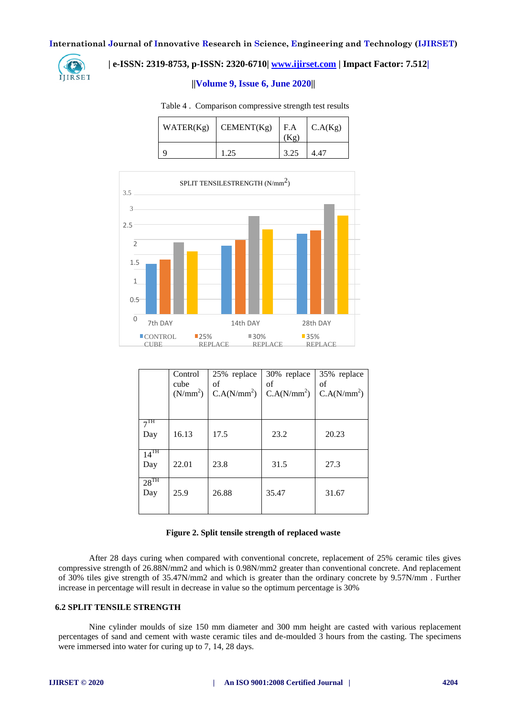

# **| e-ISSN: 2319-8753, p-ISSN: 2320-6710| [www.ijirset.com](http://www.ijirset.com/) | Impact Factor: 7.512|**

#### **||Volume 9, Issue 6, June 2020||**

Table 4 . Comparison compressive strength test results

| WATER(Kg) | CEMENT(Kg) | F.A  | C.A(Kg) |
|-----------|------------|------|---------|
|           | 1.25       | 3.25 |         |



|                        | Control<br>cube<br>(N/mm <sup>2</sup> ) | 25% replace<br>οf<br>C.A(N/mm <sup>2</sup> ) | 30% replace<br>οf<br>C.A(N/mm <sup>2</sup> ) | 35% replace<br>of<br>C.A(N/mm <sup>2</sup> ) |
|------------------------|-----------------------------------------|----------------------------------------------|----------------------------------------------|----------------------------------------------|
| 7 <sup>TH</sup><br>Day | 16.13                                   | 17.5                                         | 23.2                                         | 20.23                                        |
| $14^{TH}$<br>Day       | 22.01                                   | 23.8                                         | 31.5                                         | 27.3                                         |
| $28^{TH}$<br>Day       | 25.9                                    | 26.88                                        | 35.47                                        | 31.67                                        |

#### **Figure 2. Split tensile strength of replaced waste**

After 28 days curing when compared with conventional concrete, replacement of 25% ceramic tiles gives compressive strength of 26.88N/mm2 and which is 0.98N/mm2 greater than conventional concrete. And replacement of 30% tiles give strength of 35.47N/mm2 and which is greater than the ordinary concrete by 9.57N/mm . Further increase in percentage will result in decrease in value so the optimum percentage is 30%

# **6.2 SPLIT TENSILE STRENGTH**

Nine cylinder moulds of size 150 mm diameter and 300 mm height are casted with various replacement percentages of sand and cement with waste ceramic tiles and de-moulded 3 hours from the casting. The specimens were immersed into water for curing up to 7, 14, 28 days.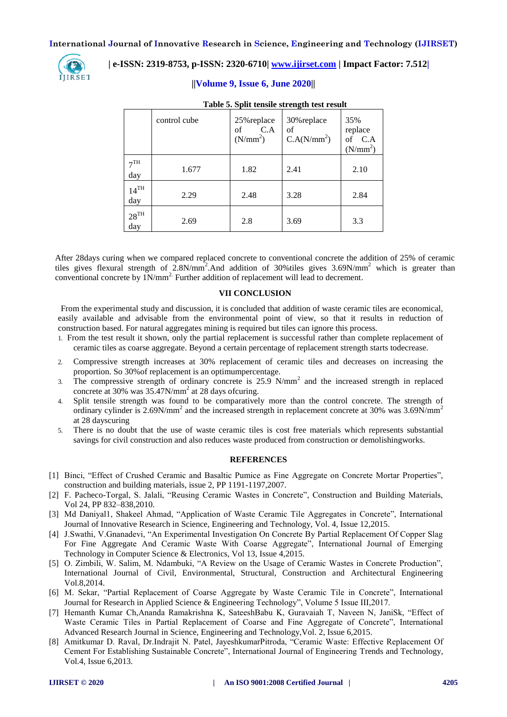

# **| e-ISSN: 2319-8753, p-ISSN: 2320-6710| [www.ijirset.com](http://www.ijirset.com/) | Impact Factor: 7.512|**

# **||Volume 9, Issue 6, June 2020||**

|                           | control cube | 25% replace<br>C.A<br>of<br>(N/mm <sup>2</sup> ) | 30% replace<br>οf<br>C.A(N/mm <sup>2</sup> ) | 35%<br>replace<br>of C.A<br>(N/mm <sup>2</sup> ) |
|---------------------------|--------------|--------------------------------------------------|----------------------------------------------|--------------------------------------------------|
| $\neg$ TH<br>day          | 1.677        | 1.82                                             | 2.41                                         | 2.10                                             |
| $14^{TH}$<br>day          | 2.29         | 2.48                                             | 3.28                                         | 2.84                                             |
| $28^{\mathrm{TH}}$<br>day | 2.69         | 2.8                                              | 3.69                                         | 3.3                                              |

### **Table 5. Split tensile strength test result**

After 28days curing when we compared replaced concrete to conventional concrete the addition of 25% of ceramic tiles gives flexural strength of  $2.8N/mm^2$ . And addition of 30%tiles gives  $3.69N/mm^2$  which is greater than conventional concrete by  $1N/mm^2$ . Further addition of replacement will lead to decrement.

#### **VII CONCLUSION**

From the experimental study and discussion, it is concluded that addition of waste ceramic tiles are economical, easily available and advisable from the environmental point of view, so that it results in reduction of construction based. For natural aggregates mining is required but tiles can ignore this process.

- 1. From the test result it shown, only the partial replacement is successful rather than complete replacement of ceramic tiles as coarse aggregate. Beyond a certain percentage of replacement strength starts todecrease.
- 2. Compressive strength increases at 30% replacement of ceramic tiles and decreases on increasing the proportion. So 30%of replacement is an optimumpercentage.
- 3. The compressive strength of ordinary concrete is 25.9 N/mm<sup>2</sup> and the increased strength in replaced concrete at 30% was 35.47N/mm<sup>2</sup> at 28 days ofcuring.
- 4. Split tensile strength was found to be comparatively more than the control concrete. The strength of ordinary cylinder is 2.69N/mm<sup>2</sup> and the increased strength in replacement concrete at 30% was 3.69N/mm<sup>2</sup> at 28 dayscuring
- 5. There is no doubt that the use of waste ceramic tiles is cost free materials which represents substantial savings for civil construction and also reduces waste produced from construction or demolishingworks.

#### **REFERENCES**

- [1] Binci, "Effect of Crushed Ceramic and Basaltic Pumice as Fine Aggregate on Concrete Mortar Properties", construction and building materials, issue 2, PP 1191-1197,2007.
- [2] F. Pacheco-Torgal, S. Jalali, "Reusing Ceramic Wastes in Concrete", Construction and Building Materials, Vol 24, PP 832–838,2010.
- [3] Md Daniyal1, Shakeel Ahmad, "Application of Waste Ceramic Tile Aggregates in Concrete", International Journal of Innovative Research in Science, Engineering and Technology, Vol. 4, Issue 12,2015.
- [4] J.Swathi, V.Gnanadevi, "An Experimental Investigation On Concrete By Partial Replacement Of Copper Slag For Fine Aggregate And Ceramic Waste With Coarse Aggregate", International Journal of Emerging Technology in Computer Science & Electronics, Vol 13, Issue 4,2015.
- [5] O. Zimbili, W. Salim, M. Ndambuki, "A Review on the Usage of Ceramic Wastes in Concrete Production", International Journal of Civil, Environmental, Structural, Construction and Architectural Engineering Vol.8,2014.
- [6] M. Sekar, "Partial Replacement of Coarse Aggregate by Waste Ceramic Tile in Concrete", International Journal for Research in Applied Science & Engineering Technology", Volume 5 Issue III,2017.
- [7] Hemanth Kumar Ch,Ananda Ramakrishna K, SateeshBabu K, Guravaiah T, Naveen N, JaniSk, "Effect of Waste Ceramic Tiles in Partial Replacement of Coarse and Fine Aggregate of Concrete", International Advanced Research Journal in Science, Engineering and Technology,Vol. 2, Issue 6,2015.
- [8] Amitkumar D. Raval, Dr.Indrajit N. Patel, JayeshkumarPitroda, "Ceramic Waste: Effective Replacement Of Cement For Establishing Sustainable Concrete", International Journal of Engineering Trends and Technology, Vol.4, Issue 6,2013.